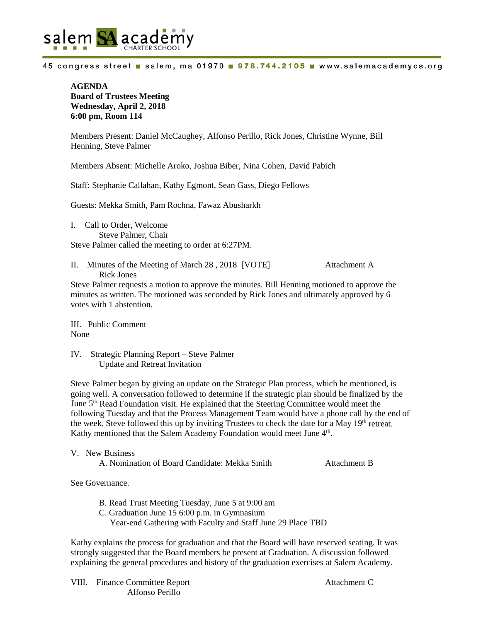

45 congress street salem, ma 01970 978.744.2105 www.salemacademycs.org

## **AGENDA Board of Trustees Meeting Wednesday, April 2, 2018 6:00 pm, Room 114**

Members Present: Daniel McCaughey, Alfonso Perillo, Rick Jones, Christine Wynne, Bill Henning, Steve Palmer

Members Absent: Michelle Aroko, Joshua Biber, Nina Cohen, David Pabich

Staff: Stephanie Callahan, Kathy Egmont, Sean Gass, Diego Fellows

Guests: Mekka Smith, Pam Rochna, Fawaz Abusharkh

I. Call to Order, Welcome Steve Palmer, Chair Steve Palmer called the meeting to order at 6:27PM.

II. Minutes of the Meeting of March 28 , 2018 [VOTE] Attachment A Rick Jones

Steve Palmer requests a motion to approve the minutes. Bill Henning motioned to approve the minutes as written. The motioned was seconded by Rick Jones and ultimately approved by 6 votes with 1 abstention.

III. Public Comment None

IV. Strategic Planning Report – Steve Palmer Update and Retreat Invitation

Steve Palmer began by giving an update on the Strategic Plan process, which he mentioned, is going well. A conversation followed to determine if the strategic plan should be finalized by the June  $5<sup>th</sup>$  Read Foundation visit. He explained that the Steering Committee would meet the following Tuesday and that the Process Management Team would have a phone call by the end of the week. Steve followed this up by inviting Trustees to check the date for a May 19<sup>th</sup> retreat. Kathy mentioned that the Salem Academy Foundation would meet June  $4<sup>th</sup>$ .

V. New Business A. Nomination of Board Candidate: Mekka Smith Attachment B

See Governance.

- B. Read Trust Meeting Tuesday, June 5 at 9:00 am
- C. Graduation June 15 6:00 p.m. in Gymnasium
	- Year-end Gathering with Faculty and Staff June 29 Place TBD

Kathy explains the process for graduation and that the Board will have reserved seating. It was strongly suggested that the Board members be present at Graduation. A discussion followed explaining the general procedures and history of the graduation exercises at Salem Academy.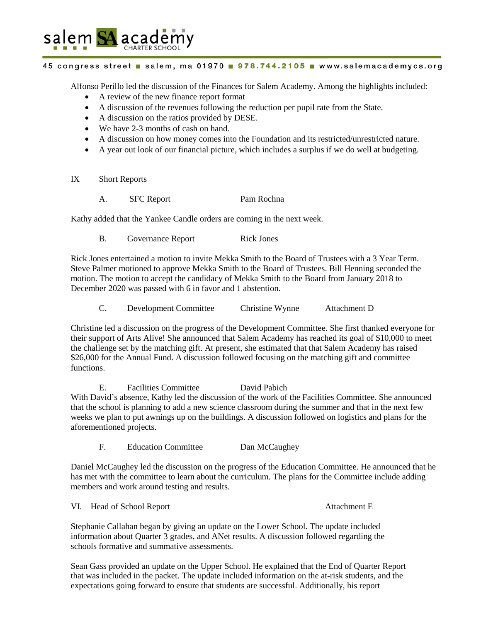

## 45 congress street salem, ma 01970 978.744.2105 www.salemacademycs.org

Alfonso Perillo led the discussion of the Finances for Salem Academy. Among the highlights included:

- A review of the new finance report format
- A discussion of the revenues following the reduction per pupil rate from the State.
- A discussion on the ratios provided by DESE.
- We have 2-3 months of cash on hand.
- A discussion on how money comes into the Foundation and its restricted/unrestricted nature.
- A year out look of our financial picture, which includes a surplus if we do well at budgeting.
- IX Short Reports
	- A. SFC Report Pam Rochna

Kathy added that the Yankee Candle orders are coming in the next week.

B. Governance Report Rick Jones

Rick Jones entertained a motion to invite Mekka Smith to the Board of Trustees with a 3 Year Term. Steve Palmer motioned to approve Mekka Smith to the Board of Trustees. Bill Henning seconded the motion. The motion to accept the candidacy of Mekka Smith to the Board from January 2018 to December 2020 was passed with 6 in favor and 1 abstention.

C. Development Committee Christine Wynne Attachment D

Christine led a discussion on the progress of the Development Committee. She first thanked everyone for their support of Arts Alive! She announced that Salem Academy has reached its goal of \$10,000 to meet the challenge set by the matching gift. At present, she estimated that that Salem Academy has raised \$26,000 for the Annual Fund. A discussion followed focusing on the matching gift and committee functions.

E. Facilities Committee David Pabich With David's absence, Kathy led the discussion of the work of the Facilities Committee. She announced that the school is planning to add a new science classroom during the summer and that in the next few weeks we plan to put awnings up on the buildings. A discussion followed on logistics and plans for the aforementioned projects.

F. Education Committee Dan McCaughey

Daniel McCaughey led the discussion on the progress of the Education Committee. He announced that he has met with the committee to learn about the curriculum. The plans for the Committee include adding members and work around testing and results.

VI. Head of School Report **Attachment E** 

Stephanie Callahan began by giving an update on the Lower School. The update included information about Quarter 3 grades, and ANet results. A discussion followed regarding the schools formative and summative assessments.

Sean Gass provided an update on the Upper School. He explained that the End of Quarter Report that was included in the packet. The update included information on the at-risk students, and the expectations going forward to ensure that students are successful. Additionally, his report